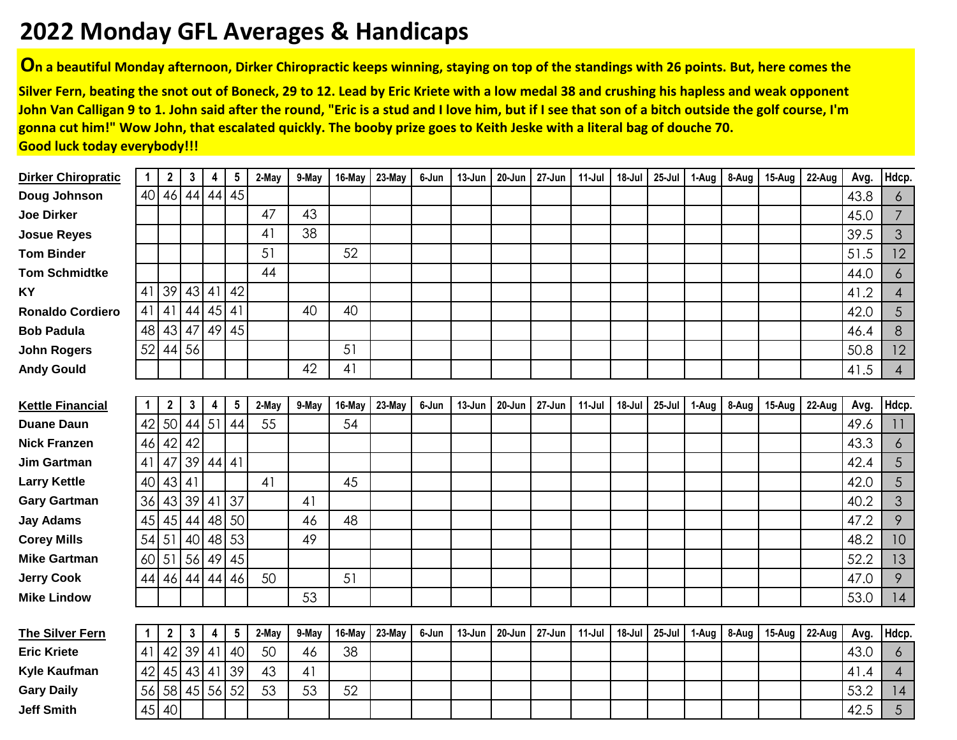## **2022 Monday GFL Averages & Handicaps**

**On a beautiful Monday afternoon, Dirker Chiropractic keeps winning, staying on top of the standings with 26 points. But, here comes the**

**Silver Fern, beating the snot out of Boneck, 29 to 12. Lead by Eric Kriete with a low medal 38 and crushing his hapless and weak opponent John Van Calligan 9 to 1. John said after the round, "Eric is a stud and I love him, but if I see that son of a bitch outside the golf course, I'm gonna cut him!" Wow John, that escalated quickly. The booby prize goes to Keith Jeske with a literal bag of douche 70. Good luck today everybody!!!**

| <b>Dirker Chiropratic</b> | 1            | 2            | 3            | 4     | $5\phantom{.0}$ | 2-May | 9-May | 16-May | 23-May | 6-Jun | 13-Jun | 20-Jun | 27-Jun | 11-Jul | 18-Jul | 25-Jul | 1-Aug | 8-Aug | 15-Aug | 22-Aug | Avg. | Hdcp.          |
|---------------------------|--------------|--------------|--------------|-------|-----------------|-------|-------|--------|--------|-------|--------|--------|--------|--------|--------|--------|-------|-------|--------|--------|------|----------------|
| Doug Johnson              |              | 40 46        | 44           | 44    | 45              |       |       |        |        |       |        |        |        |        |        |        |       |       |        |        | 43.8 | 6              |
| <b>Joe Dirker</b>         |              |              |              |       |                 | 47    | 43    |        |        |       |        |        |        |        |        |        |       |       |        |        | 45.0 | $\overline{7}$ |
| <b>Josue Reyes</b>        |              |              |              |       |                 | 41    | 38    |        |        |       |        |        |        |        |        |        |       |       |        |        | 39.5 | 3              |
| <b>Tom Binder</b>         |              |              |              |       |                 | 51    |       | 52     |        |       |        |        |        |        |        |        |       |       |        |        | 51.5 | 12             |
| <b>Tom Schmidtke</b>      |              |              |              |       |                 | 44    |       |        |        |       |        |        |        |        |        |        |       |       |        |        | 44.0 | 6              |
| ΚY                        | 41           | 39           | 43           | 41    | 42              |       |       |        |        |       |        |        |        |        |        |        |       |       |        |        | 41.2 | $\overline{4}$ |
| <b>Ronaldo Cordiero</b>   | 41 41        |              | 44           | 45    | 4               |       | 40    | 40     |        |       |        |        |        |        |        |        |       |       |        |        | 42.0 | 5              |
| <b>Bob Padula</b>         | 48           | 43           | 47           | 49    | 45              |       |       |        |        |       |        |        |        |        |        |        |       |       |        |        | 46.4 | 8              |
| <b>John Rogers</b>        | 52           | 44           | 56           |       |                 |       |       | 51     |        |       |        |        |        |        |        |        |       |       |        |        | 50.8 | 12             |
| <b>Andy Gould</b>         |              |              |              |       |                 |       | 42    | 41     |        |       |        |        |        |        |        |        |       |       |        |        | 41.5 | $\overline{4}$ |
|                           |              |              |              |       |                 |       |       |        |        |       |        |        |        |        |        |        |       |       |        |        |      |                |
| <b>Kettle Financial</b>   | $\mathbf{1}$ | 2            | $\mathbf{3}$ | 4     | $\sqrt{5}$      | 2-May | 9-May | 16-May | 23-May | 6-Jun | 13-Jun | 20-Jun | 27-Jun | 11-Jul | 18-Jul | 25-Jul | 1-Aug | 8-Aug | 15-Aug | 22-Aug | Avg. | Hdcp.          |
| <b>Duane Daun</b>         | 42           | 50           | 44           | 51    | 44              | 55    |       | 54     |        |       |        |        |        |        |        |        |       |       |        |        | 49.6 | 11             |
| <b>Nick Franzen</b>       | 46           | 42           | 42           |       |                 |       |       |        |        |       |        |        |        |        |        |        |       |       |        |        | 43.3 | 6              |
| Jim Gartman               | 41           | 47           | 39           | 44 41 |                 |       |       |        |        |       |        |        |        |        |        |        |       |       |        |        | 42.4 | 5              |
| <b>Larry Kettle</b>       | 40           | 43 41        |              |       |                 | 41    |       | 45     |        |       |        |        |        |        |        |        |       |       |        |        | 42.0 | 5              |
| <b>Gary Gartman</b>       | 36           | 43           | 39           | 41    | 37              |       | 41    |        |        |       |        |        |        |        |        |        |       |       |        |        | 40.2 | 3              |
| <b>Jay Adams</b>          | 45           | 45           | 44           |       | 48 50           |       | 46    | 48     |        |       |        |        |        |        |        |        |       |       |        |        | 47.2 | 9              |
| <b>Corey Mills</b>        | 54 51        |              | 40           | 48 53 |                 |       | 49    |        |        |       |        |        |        |        |        |        |       |       |        |        | 48.2 | 10             |
| <b>Mike Gartman</b>       | 60 51        |              | 56           | 49    | 45              |       |       |        |        |       |        |        |        |        |        |        |       |       |        |        | 52.2 | 13             |
| <b>Jerry Cook</b>         |              | 44 46        | 44           | 44    | 46              | 50    |       | 51     |        |       |        |        |        |        |        |        |       |       |        |        | 47.0 | 9              |
| <b>Mike Lindow</b>        |              |              |              |       |                 |       | 53    |        |        |       |        |        |        |        |        |        |       |       |        |        | 53.0 | 14             |
|                           |              |              |              |       |                 |       |       |        |        |       |        |        |        |        |        |        |       |       |        |        |      |                |
| The Silver Fern           | $\mathbf 1$  | $\mathbf{2}$ | $\mathbf{3}$ | 4     | $5\phantom{.0}$ | 2-May | 9-May | 16-May | 23-May | 6-Jun | 13-Jun | 20-Jun | 27-Jun | 11-Jul | 18-Jul | 25-Jul | 1-Aug | 8-Aug | 15-Aug | 22-Aug | Avg. | Hdcp.          |
| <b>Eric Kriete</b>        | 41           | 42           | 39           | 41    | 40              | 50    | 46    | 38     |        |       |        |        |        |        |        |        |       |       |        |        | 43.0 | 6              |
| <b>Kyle Kaufman</b>       | 42           | 45           | 43           | 41    | 39              | 43    | 41    |        |        |       |        |        |        |        |        |        |       |       |        |        | 41.4 | $\overline{4}$ |
| <b>Gary Daily</b>         |              | 56 58        | 45 56 52     |       |                 | 53    | 53    | 52     |        |       |        |        |        |        |        |        |       |       |        |        | 53.2 | 14             |
| <b>Jeff Smith</b>         |              | $45$ 40      |              |       |                 |       |       |        |        |       |        |        |        |        |        |        |       |       |        |        | 42.5 | 5              |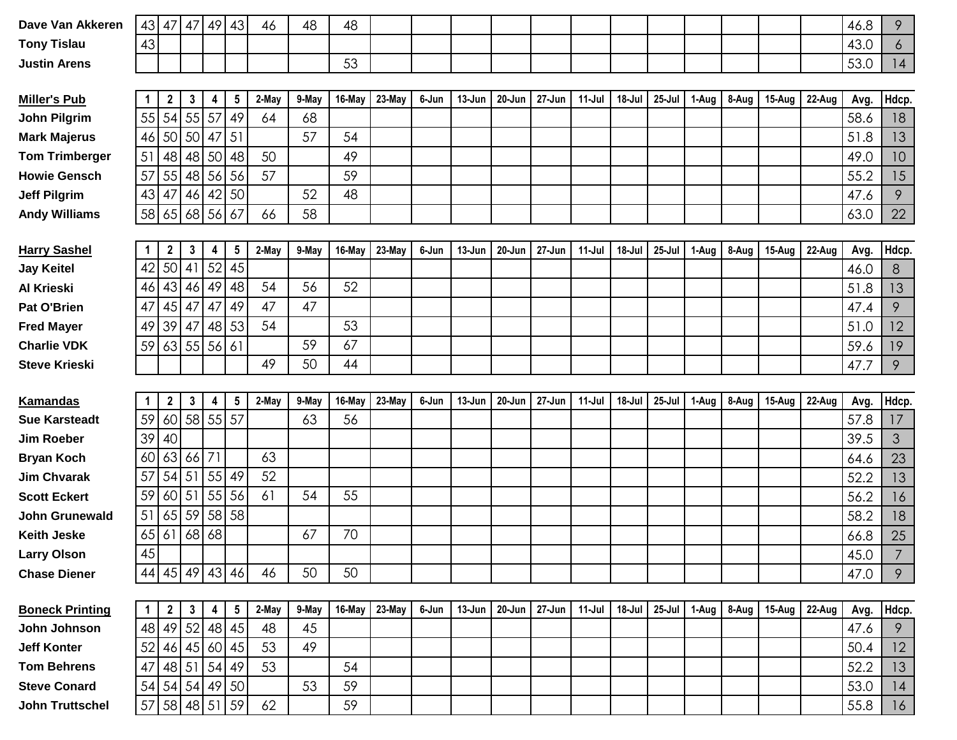| Dave Van Akkeren       | $43 \mid 47$   |                | 47           |         | 49 43           | 46    | 48    | 48     |        |       |        |            |        |          |        |            |       |       |        |        | 46.8 | 9              |
|------------------------|----------------|----------------|--------------|---------|-----------------|-------|-------|--------|--------|-------|--------|------------|--------|----------|--------|------------|-------|-------|--------|--------|------|----------------|
| <b>Tony Tislau</b>     | 43             |                |              |         |                 |       |       |        |        |       |        |            |        |          |        |            |       |       |        |        | 43.0 | 6              |
| <b>Justin Arens</b>    |                |                |              |         |                 |       |       | 53     |        |       |        |            |        |          |        |            |       |       |        |        | 53.0 | 4              |
|                        |                |                |              |         |                 |       |       |        |        |       |        |            |        |          |        |            |       |       |        |        |      |                |
| <b>Miller's Pub</b>    |                | $\mathbf{2}$   | 3            | 4       | 5               | 2-May | 9-May | 16-May | 23-May | 6-Jun | 13-Jun | 20-Jun     | 27-Jun | 11-Jul   | 18-Jul | 25-Jul     | 1-Aug | 8-Aug | 15-Aug | 22-Aug | Avg. | Hdcp.          |
| <b>John Pilgrim</b>    | 55             | 54             | 55           | 57      | 49              | 64    | 68    |        |        |       |        |            |        |          |        |            |       |       |        |        | 58.6 | 18             |
| <b>Mark Majerus</b>    | 46             | 50 50          |              | 47      | 51              |       | 57    | 54     |        |       |        |            |        |          |        |            |       |       |        |        | 51.8 | 13             |
| <b>Tom Trimberger</b>  | 51             | 48             | 48           | 50      | 48              | 50    |       | 49     |        |       |        |            |        |          |        |            |       |       |        |        | 49.0 | 10             |
| <b>Howie Gensch</b>    | 57             | 55             | 48           | 56      | 56              | 57    |       | 59     |        |       |        |            |        |          |        |            |       |       |        |        | 55.2 | 15             |
| <b>Jeff Pilgrim</b>    | 43             | 47             | 46           |         | 42 50           |       | 52    | 48     |        |       |        |            |        |          |        |            |       |       |        |        | 47.6 | 9              |
| <b>Andy Williams</b>   | 58 65 68       |                |              | 56 67   |                 | 66    | 58    |        |        |       |        |            |        |          |        |            |       |       |        |        | 63.0 | 22             |
|                        |                |                |              |         |                 |       |       |        |        |       |        |            |        |          |        |            |       |       |        |        |      |                |
| <b>Harry Sashel</b>    | -1             | $\mathbf{2}$   | $\mathbf{3}$ | 4       | $\sqrt{5}$      | 2-May | 9-May | 16-May | 23-May | 6-Jun | 13-Jun | 20-Jun     | 27-Jun | 11-Jul   | 18-Jul | $25 -$ Jul | 1-Aug | 8-Aug | 15-Aug | 22-Aug | Avg. | Hdcp.          |
| <b>Jay Keitel</b>      | 42             | 50<br>41       |              |         | 52 45           |       |       |        |        |       |        |            |        |          |        |            |       |       |        |        | 46.0 | 8              |
| Al Krieski             | 46             | 43 46          |              | 49      | 48              | 54    | 56    | 52     |        |       |        |            |        |          |        |            |       |       |        |        | 51.8 | 13             |
| <b>Pat O'Brien</b>     | 47             | 45 47          |              | 47      | 49              | 47    | 47    |        |        |       |        |            |        |          |        |            |       |       |        |        | 47.4 | 9              |
| <b>Fred Mayer</b>      | 49             | 39<br>47       |              | 48      | 53              | 54    |       | 53     |        |       |        |            |        |          |        |            |       |       |        |        | 51.0 | 12             |
| <b>Charlie VDK</b>     | 59             | 63   55        |              | 56 61   |                 |       | 59    | 67     |        |       |        |            |        |          |        |            |       |       |        |        | 59.6 | 19             |
| <b>Steve Krieski</b>   |                |                |              |         |                 | 49    | 50    | 44     |        |       |        |            |        |          |        |            |       |       |        |        | 47.7 | 9              |
|                        |                |                |              |         |                 |       |       |        |        |       |        |            |        |          |        |            |       |       |        |        |      |                |
|                        |                |                |              |         |                 |       |       |        |        |       |        |            |        |          |        |            |       |       |        |        |      |                |
| <b>Kamandas</b>        | $\mathbf{1}$   | $\overline{2}$ | $\mathbf{3}$ | 4       | $5\phantom{.0}$ | 2-May | 9-May | 16-May | 23-May | 6-Jun | 13-Jun | $20 - Jun$ | 27-Jun | 11-Jul   | 18-Jul | 25-Jul     | 1-Aug | 8-Aug | 15-Aug | 22-Aug | Avg. | Hdcp.          |
| <b>Sue Karsteadt</b>   | 59             | 60             | 58 55 57     |         |                 |       | 63    | 56     |        |       |        |            |        |          |        |            |       |       |        |        | 57.8 | 17             |
| <b>Jim Roeber</b>      | 39             | 40             |              |         |                 |       |       |        |        |       |        |            |        |          |        |            |       |       |        |        | 39.5 | 3              |
| <b>Bryan Koch</b>      | 60             | 63             | 66           | 71      |                 | 63    |       |        |        |       |        |            |        |          |        |            |       |       |        |        | 64.6 | 23             |
| <b>Jim Chvarak</b>     | 57             | 54<br>51       |              | 55 49   |                 | 52    |       |        |        |       |        |            |        |          |        |            |       |       |        |        | 52.2 | 13             |
| <b>Scott Eckert</b>    | 59             | 60 51          |              | 55 56   |                 | 61    | 54    | 55     |        |       |        |            |        |          |        |            |       |       |        |        | 56.2 | 16             |
| John Grunewald         | 51             | 59<br>65       |              | 58 58   |                 |       |       |        |        |       |        |            |        |          |        |            |       |       |        |        | 58.2 | 18             |
| <b>Keith Jeske</b>     | 65             | 61             | 68           | 68      |                 |       | 67    | 70     |        |       |        |            |        |          |        |            |       |       |        |        | 66.8 | 25             |
| <b>Larry Olson</b>     | 15             |                |              |         |                 |       |       |        |        |       |        |            |        |          |        |            |       |       |        |        | 45.0 | $\overline{7}$ |
| <b>Chase Diener</b>    | 44 45 49 43 46 |                |              |         |                 | 46    | 50    | 50     |        |       |        |            |        |          |        |            |       |       |        |        | 47.0 | 9              |
|                        |                |                |              |         |                 |       |       |        |        |       |        |            |        |          |        |            |       |       |        |        |      |                |
| <b>Boneck Printing</b> | $\mathbf{1}$   | $\mathbf{2}$   | $\mathbf{3}$ | 4       | $5\phantom{.0}$ | 2-May | 9-May | 16-May | 23-May | 6-Jun | 13-Jun | $20$ -Jun  | 27-Jun | $11-Jul$ | 18-Jul | $25 -$ Jul | 1-Aug | 8-Aug | 15-Aug | 22-Aug | Avg. | Hdcp.          |
| John Johnson           | 48 49 52 48 45 |                |              |         |                 | 48    | 45    |        |        |       |        |            |        |          |        |            |       |       |        |        | 47.6 | 9              |
| <b>Jeff Konter</b>     | 52 46 45 60 45 |                |              |         |                 | 53    | 49    |        |        |       |        |            |        |          |        |            |       |       |        |        | 50.4 | 12             |
| <b>Tom Behrens</b>     | 47             | 48 51          |              | $54$ 49 |                 | 53    |       | 54     |        |       |        |            |        |          |        |            |       |       |        |        | 52.2 | 13             |
| <b>Steve Conard</b>    | 54 54 54 49 50 |                |              |         |                 |       | 53    | 59     |        |       |        |            |        |          |        |            |       |       |        |        | 53.0 | 14             |